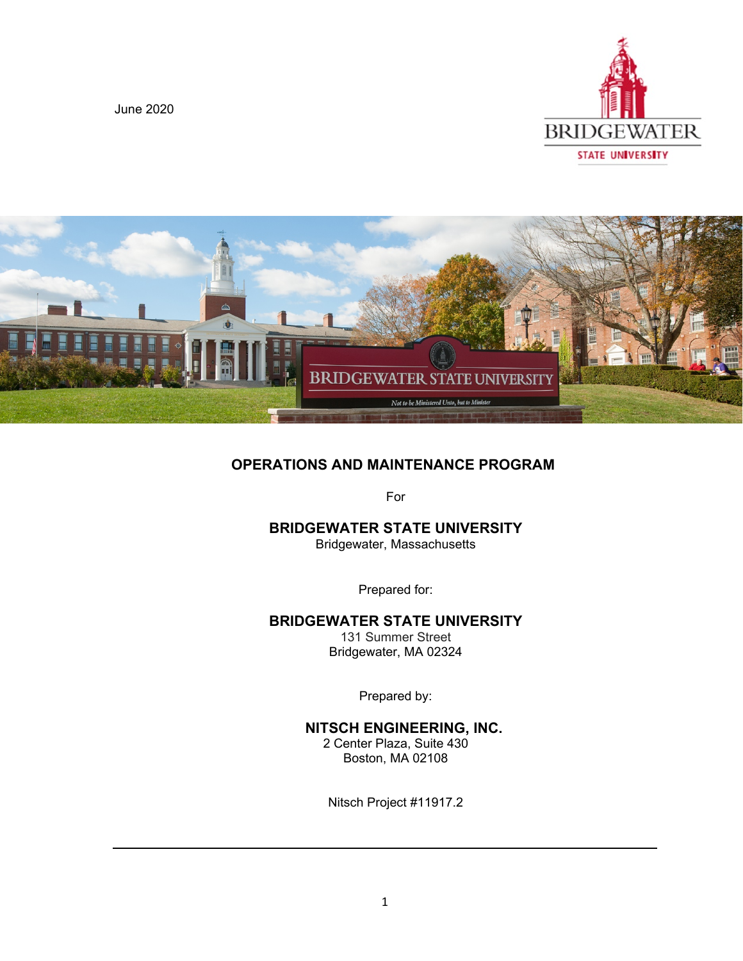June 2020





# **OPERATIONS AND MAINTENANCE PROGRAM**

For

### **BRIDGEWATER STATE UNIVERSITY**

Bridgewater, Massachusetts

Prepared for:

### **BRIDGEWATER STATE UNIVERSITY**

131 Summer Street Bridgewater, MA 02324

Prepared by:

### **NITSCH ENGINEERING, INC.**

2 Center Plaza, Suite 430 Boston, MA 02108

Nitsch Project #11917.2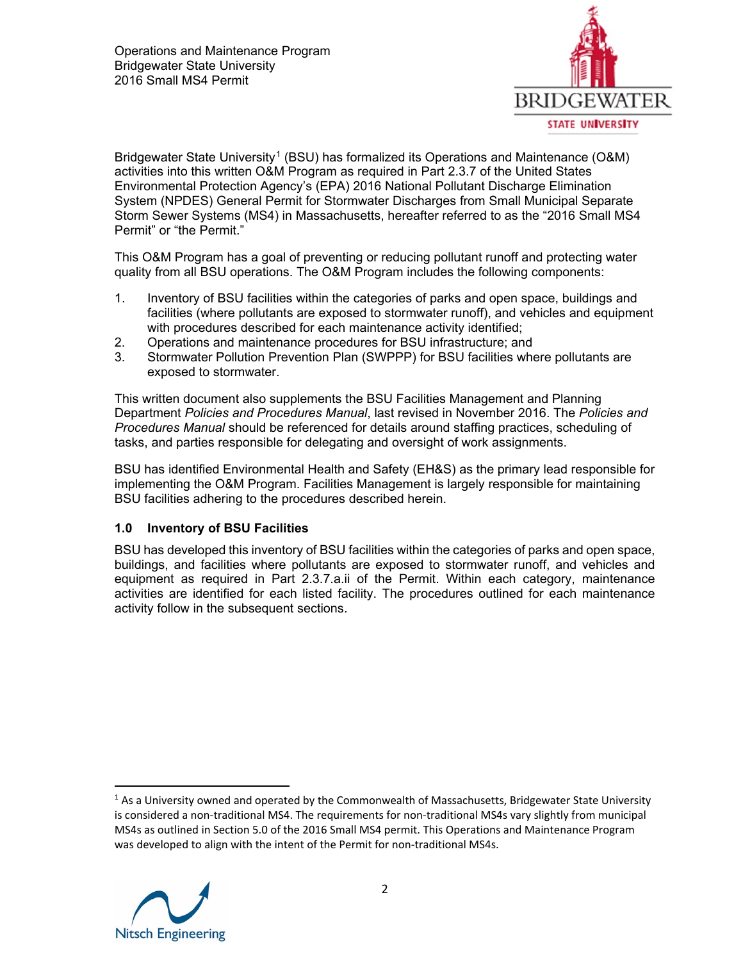

Bridgewater State University<sup>[1](#page-1-0)</sup> (BSU) has formalized its Operations and Maintenance (O&M) activities into this written O&M Program as required in Part 2.3.7 of the United States Environmental Protection Agency's (EPA) 2016 National Pollutant Discharge Elimination System (NPDES) General Permit for Stormwater Discharges from Small Municipal Separate Storm Sewer Systems (MS4) in Massachusetts, hereafter referred to as the "2016 Small MS4 Permit" or "the Permit."

This O&M Program has a goal of preventing or reducing pollutant runoff and protecting water quality from all BSU operations. The O&M Program includes the following components:

- 1. Inventory of BSU facilities within the categories of parks and open space, buildings and facilities (where pollutants are exposed to stormwater runoff), and vehicles and equipment with procedures described for each maintenance activity identified;
- 2. Operations and maintenance procedures for BSU infrastructure; and
- 3. Stormwater Pollution Prevention Plan (SWPPP) for BSU facilities where pollutants are exposed to stormwater.

This written document also supplements the BSU Facilities Management and Planning Department *Policies and Procedures Manual*, last revised in November 2016. The *Policies and Procedures Manual* should be referenced for details around staffing practices, scheduling of tasks, and parties responsible for delegating and oversight of work assignments.

BSU has identified Environmental Health and Safety (EH&S) as the primary lead responsible for implementing the O&M Program. Facilities Management is largely responsible for maintaining BSU facilities adhering to the procedures described herein.

### **1.0 Inventory of BSU Facilities**

BSU has developed this inventory of BSU facilities within the categories of parks and open space, buildings, and facilities where pollutants are exposed to stormwater runoff, and vehicles and equipment as required in Part 2.3.7.a.ii of the Permit. Within each category, maintenance activities are identified for each listed facility. The procedures outlined for each maintenance activity follow in the subsequent sections.

<span id="page-1-0"></span> $1$  As a University owned and operated by the Commonwealth of Massachusetts, Bridgewater State University is considered a non-traditional MS4. The requirements for non-traditional MS4s vary slightly from municipal MS4s as outlined in Section 5.0 of the 2016 Small MS4 permit. This Operations and Maintenance Program was developed to align with the intent of the Permit for non-traditional MS4s.

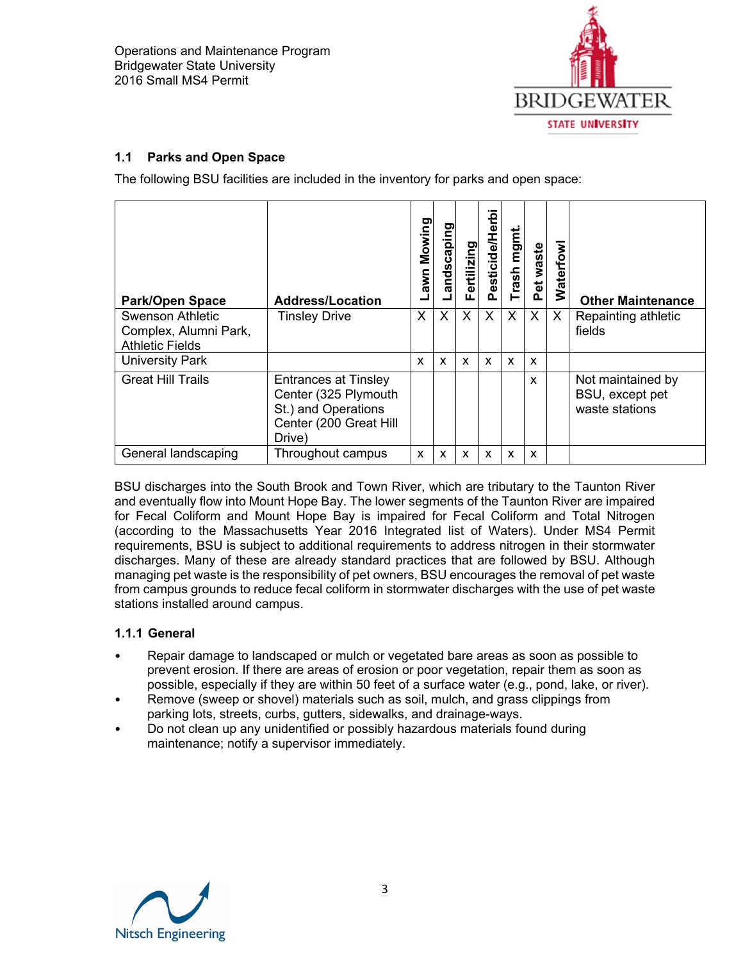

### **1.1 Parks and Open Space**

The following BSU facilities are included in the inventory for parks and open space:

| <b>Park/Open Space</b>                                                     | <b>Address/Location</b>                                                                                        | Mowing<br>Lawn            | Landscaping | <b>ertilizing</b><br>LĒ. | Pesticide/Herbi           | Trash mgmt | Pet waste    | <b>Waterfowl</b> | <b>Other Maintenance</b>                               |
|----------------------------------------------------------------------------|----------------------------------------------------------------------------------------------------------------|---------------------------|-------------|--------------------------|---------------------------|------------|--------------|------------------|--------------------------------------------------------|
| <b>Swenson Athletic</b><br>Complex, Alumni Park,<br><b>Athletic Fields</b> | <b>Tinsley Drive</b>                                                                                           | X                         | X           | X                        | $\times$                  | X          | X            | X                | Repainting athletic<br>fields                          |
| <b>University Park</b>                                                     |                                                                                                                | $\boldsymbol{\mathsf{x}}$ | X           | X                        | $\boldsymbol{\mathsf{x}}$ | X          | X            |                  |                                                        |
| <b>Great Hill Trails</b>                                                   | <b>Entrances at Tinsley</b><br>Center (325 Plymouth<br>St.) and Operations<br>Center (200 Great Hill<br>Drive) |                           |             |                          |                           |            | $\mathbf{x}$ |                  | Not maintained by<br>BSU, except pet<br>waste stations |
| General landscaping                                                        | Throughout campus                                                                                              | $\boldsymbol{\mathsf{x}}$ | X           | X                        | $\boldsymbol{\mathsf{x}}$ | X          | X            |                  |                                                        |

BSU discharges into the South Brook and Town River, which are tributary to the Taunton River and eventually flow into Mount Hope Bay. The lower segments of the Taunton River are impaired for Fecal Coliform and Mount Hope Bay is impaired for Fecal Coliform and Total Nitrogen (according to the Massachusetts Year 2016 Integrated list of Waters). Under MS4 Permit requirements, BSU is subject to additional requirements to address nitrogen in their stormwater discharges. Many of these are already standard practices that are followed by BSU. Although managing pet waste is the responsibility of pet owners, BSU encourages the removal of pet waste from campus grounds to reduce fecal coliform in stormwater discharges with the use of pet waste stations installed around campus.

### **1.1.1 General**

- Repair damage to landscaped or mulch or vegetated bare areas as soon as possible to prevent erosion. If there are areas of erosion or poor vegetation, repair them as soon as possible, especially if they are within 50 feet of a surface water (e.g., pond, lake, or river).
- Remove (sweep or shovel) materials such as soil, mulch, and grass clippings from parking lots, streets, curbs, gutters, sidewalks, and drainage-ways.
- Do not clean up any unidentified or possibly hazardous materials found during maintenance; notify a supervisor immediately.

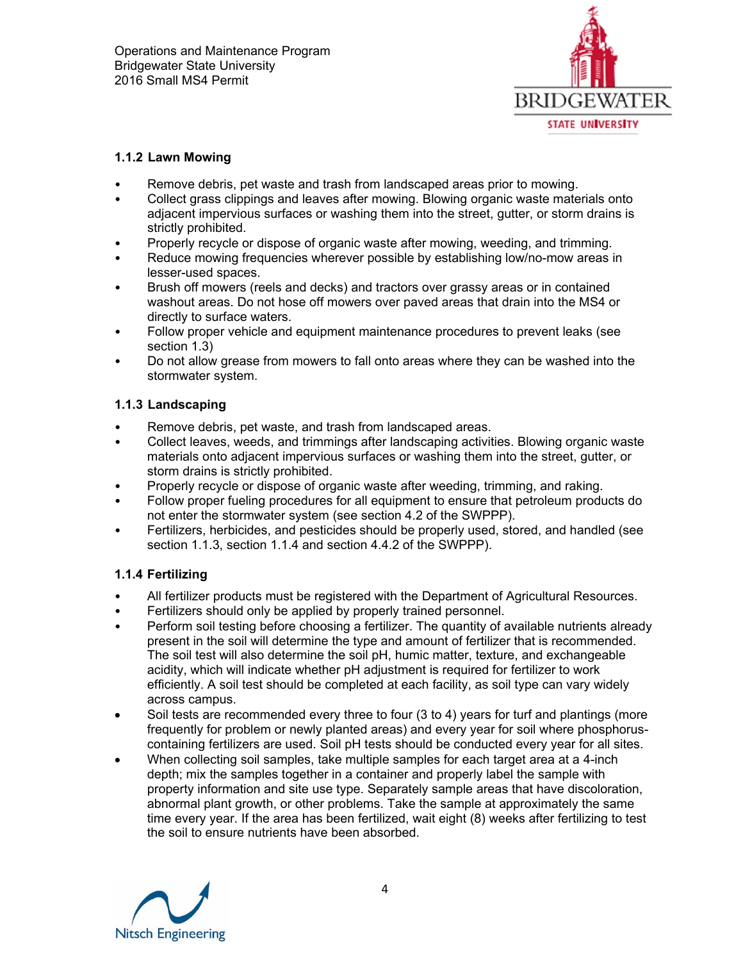

### **1.1.2 Lawn Mowing**

- Remove debris, pet waste and trash from landscaped areas prior to mowing.
- Collect grass clippings and leaves after mowing. Blowing organic waste materials onto adjacent impervious surfaces or washing them into the street, gutter, or storm drains is strictly prohibited.
- Properly recycle or dispose of organic waste after mowing, weeding, and trimming.
- Reduce mowing frequencies wherever possible by establishing low/no-mow areas in lesser-used spaces.
- Brush off mowers (reels and decks) and tractors over grassy areas or in contained washout areas. Do not hose off mowers over paved areas that drain into the MS4 or directly to surface waters.
- Follow proper vehicle and equipment maintenance procedures to prevent leaks (see section 1.3)
- Do not allow grease from mowers to fall onto areas where they can be washed into the stormwater system.

### **1.1.3 Landscaping**

- Remove debris, pet waste, and trash from landscaped areas.
- Collect leaves, weeds, and trimmings after landscaping activities. Blowing organic waste materials onto adjacent impervious surfaces or washing them into the street, gutter, or storm drains is strictly prohibited.
- Properly recycle or dispose of organic waste after weeding, trimming, and raking.
- Follow proper fueling procedures for all equipment to ensure that petroleum products do not enter the stormwater system (see section 4.2 of the SWPPP).
- Fertilizers, herbicides, and pesticides should be properly used, stored, and handled (see section 1.1.3, section 1.1.4 and section 4.4.2 of the SWPPP).

## **1.1.4 Fertilizing**

- All fertilizer products must be registered with the Department of Agricultural Resources.
- Fertilizers should only be applied by properly trained personnel.
- Perform soil testing before choosing a fertilizer. The quantity of available nutrients already present in the soil will determine the type and amount of fertilizer that is recommended. The soil test will also determine the soil pH, humic matter, texture, and exchangeable acidity, which will indicate whether pH adjustment is required for fertilizer to work efficiently. A soil test should be completed at each facility, as soil type can vary widely across campus.
- Soil tests are recommended every three to four (3 to 4) years for turf and plantings (more frequently for problem or newly planted areas) and every year for soil where phosphoruscontaining fertilizers are used. Soil pH tests should be conducted every year for all sites.
- When collecting soil samples, take multiple samples for each target area at a 4-inch depth; mix the samples together in a container and properly label the sample with property information and site use type. Separately sample areas that have discoloration, abnormal plant growth, or other problems. Take the sample at approximately the same time every year. If the area has been fertilized, wait eight (8) weeks after fertilizing to test the soil to ensure nutrients have been absorbed.

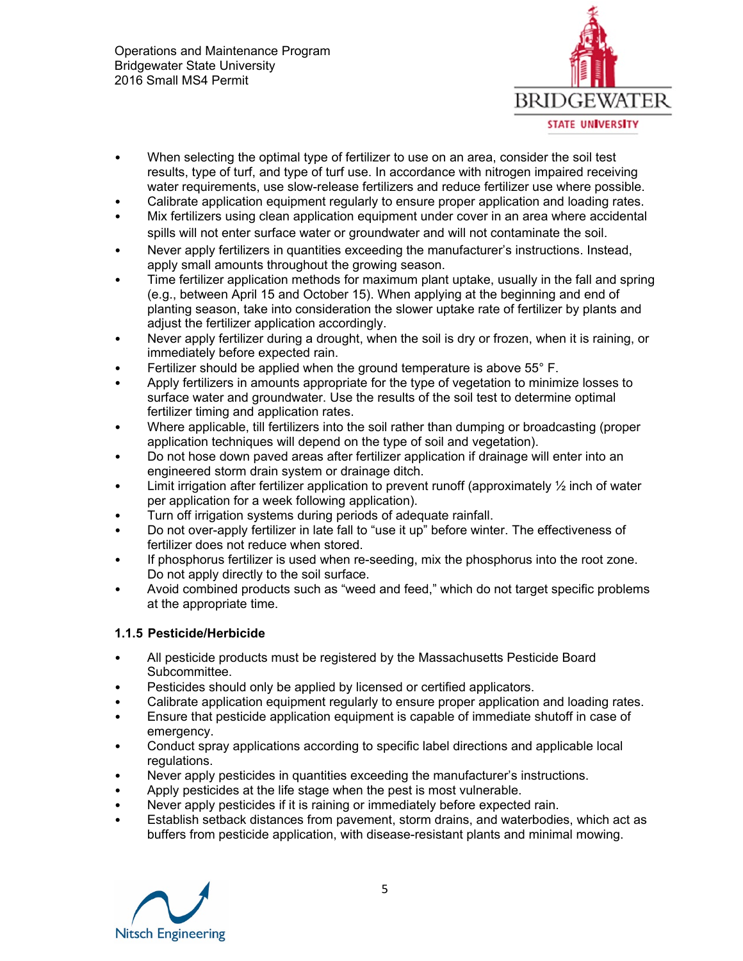

- When selecting the optimal type of fertilizer to use on an area, consider the soil test results, type of turf, and type of turf use. In accordance with nitrogen impaired receiving water requirements, use slow-release fertilizers and reduce fertilizer use where possible.
- Calibrate application equipment regularly to ensure proper application and loading rates.
- Mix fertilizers using clean application equipment under cover in an area where accidental spills will not enter surface water or groundwater and will not contaminate the soil.
- Never apply fertilizers in quantities exceeding the manufacturer's instructions. Instead, apply small amounts throughout the growing season.
- Time fertilizer application methods for maximum plant uptake, usually in the fall and spring (e.g., between April 15 and October 15). When applying at the beginning and end of planting season, take into consideration the slower uptake rate of fertilizer by plants and adjust the fertilizer application accordingly.
- Never apply fertilizer during a drought, when the soil is dry or frozen, when it is raining, or immediately before expected rain.
- Fertilizer should be applied when the ground temperature is above 55° F.
- Apply fertilizers in amounts appropriate for the type of vegetation to minimize losses to surface water and groundwater. Use the results of the soil test to determine optimal fertilizer timing and application rates.
- Where applicable, till fertilizers into the soil rather than dumping or broadcasting (proper application techniques will depend on the type of soil and vegetation).
- Do not hose down paved areas after fertilizer application if drainage will enter into an engineered storm drain system or drainage ditch.
- Limit irrigation after fertilizer application to prevent runoff (approximately  $\frac{1}{2}$  inch of water per application for a week following application).
- Turn off irrigation systems during periods of adequate rainfall.
- Do not over-apply fertilizer in late fall to "use it up" before winter. The effectiveness of fertilizer does not reduce when stored.
- If phosphorus fertilizer is used when re-seeding, mix the phosphorus into the root zone. Do not apply directly to the soil surface.
- Avoid combined products such as "weed and feed," which do not target specific problems at the appropriate time.

### **1.1.5 Pesticide/Herbicide**

- All pesticide products must be registered by the Massachusetts Pesticide Board Subcommittee.
- Pesticides should only be applied by licensed or certified applicators.
- Calibrate application equipment regularly to ensure proper application and loading rates.
- Ensure that pesticide application equipment is capable of immediate shutoff in case of emergency.
- Conduct spray applications according to specific label directions and applicable local regulations.
- Never apply pesticides in quantities exceeding the manufacturer's instructions.
- Apply pesticides at the life stage when the pest is most vulnerable.
- Never apply pesticides if it is raining or immediately before expected rain.
- Establish setback distances from pavement, storm drains, and waterbodies, which act as buffers from pesticide application, with disease-resistant plants and minimal mowing.

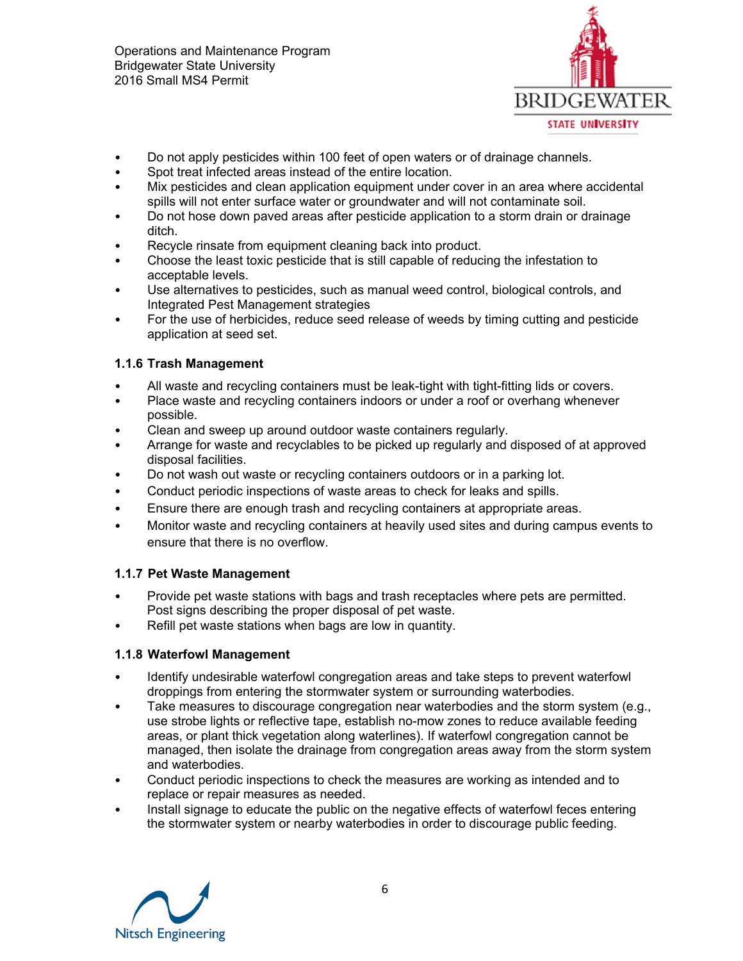

- Do not apply pesticides within 100 feet of open waters or of drainage channels.
- Spot treat infected areas instead of the entire location.
- Mix pesticides and clean application equipment under cover in an area where accidental spills will not enter surface water or groundwater and will not contaminate soil.
- Do not hose down paved areas after pesticide application to a storm drain or drainage ditch.
- Recycle rinsate from equipment cleaning back into product.
- Choose the least toxic pesticide that is still capable of reducing the infestation to acceptable levels.
- Use alternatives to pesticides, such as manual weed control, biological controls, and Integrated Pest Management strategies
- For the use of herbicides, reduce seed release of weeds by timing cutting and pesticide application at seed set.

## **1.1.6 Trash Management**

- All waste and recycling containers must be leak-tight with tight-fitting lids or covers.
- Place waste and recycling containers indoors or under a roof or overhang whenever possible.
- Clean and sweep up around outdoor waste containers regularly.
- Arrange for waste and recyclables to be picked up regularly and disposed of at approved disposal facilities.
- Do not wash out waste or recycling containers outdoors or in a parking lot.
- Conduct periodic inspections of waste areas to check for leaks and spills.
- Ensure there are enough trash and recycling containers at appropriate areas.
- Monitor waste and recycling containers at heavily used sites and during campus events to ensure that there is no overflow.

## **1.1.7 Pet Waste Management**

- Provide pet waste stations with bags and trash receptacles where pets are permitted. Post signs describing the proper disposal of pet waste.
- Refill pet waste stations when bags are low in quantity.

### **1.1.8 Waterfowl Management**

- Identify undesirable waterfowl congregation areas and take steps to prevent waterfowl droppings from entering the stormwater system or surrounding waterbodies.
- Take measures to discourage congregation near waterbodies and the storm system (e.g., use strobe lights or reflective tape, establish no-mow zones to reduce available feeding areas, or plant thick vegetation along waterlines). If waterfowl congregation cannot be managed, then isolate the drainage from congregation areas away from the storm system and waterbodies.
- Conduct periodic inspections to check the measures are working as intended and to replace or repair measures as needed.
- Install signage to educate the public on the negative effects of waterfowl feces entering the stormwater system or nearby waterbodies in order to discourage public feeding.

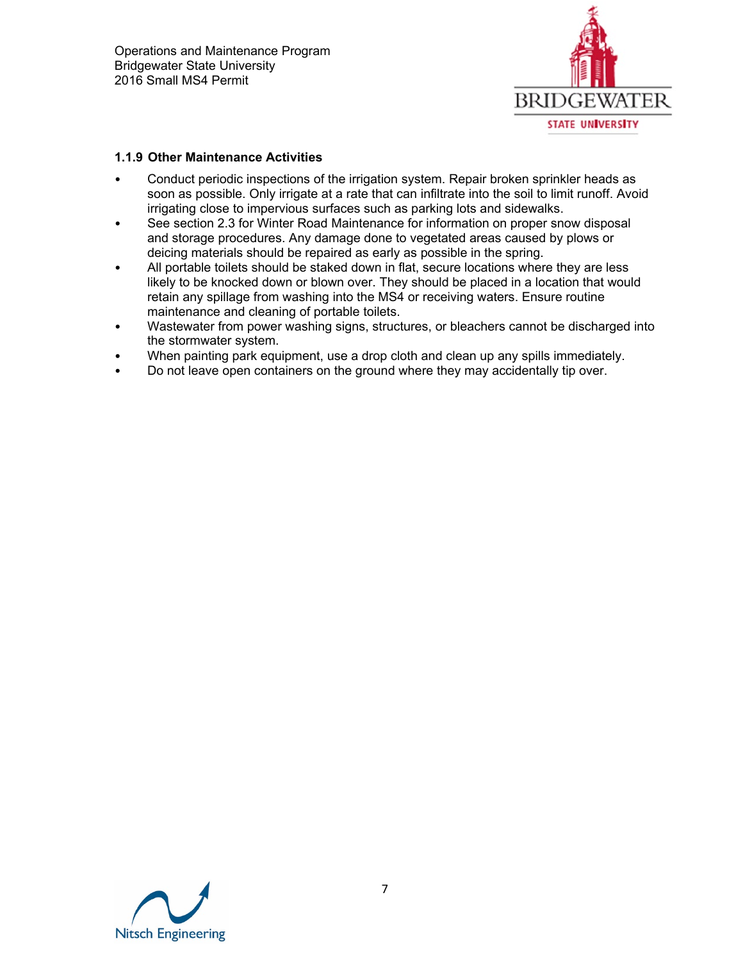

### **1.1.9 Other Maintenance Activities**

- Conduct periodic inspections of the irrigation system. Repair broken sprinkler heads as soon as possible. Only irrigate at a rate that can infiltrate into the soil to limit runoff. Avoid irrigating close to impervious surfaces such as parking lots and sidewalks.
- See section 2.3 for Winter Road Maintenance for information on proper snow disposal and storage procedures. Any damage done to vegetated areas caused by plows or deicing materials should be repaired as early as possible in the spring.
- All portable toilets should be staked down in flat, secure locations where they are less likely to be knocked down or blown over. They should be placed in a location that would retain any spillage from washing into the MS4 or receiving waters. Ensure routine maintenance and cleaning of portable toilets.
- Wastewater from power washing signs, structures, or bleachers cannot be discharged into the stormwater system.
- When painting park equipment, use a drop cloth and clean up any spills immediately.
- Do not leave open containers on the ground where they may accidentally tip over.

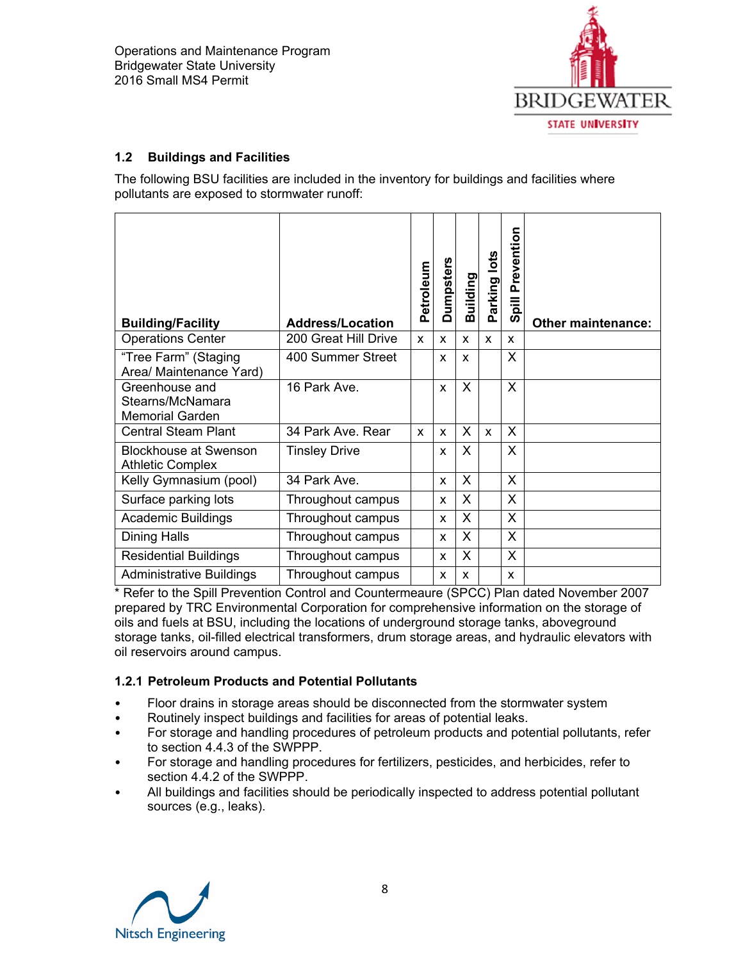

### **1.2 Buildings and Facilities**

The following BSU facilities are included in the inventory for buildings and facilities where pollutants are exposed to stormwater runoff:

| <b>Building/Facility</b>                                     | <b>Address/Location</b> | Petroleum | <b>Dumpsters</b> | Building | arking lots<br>Ő. | Prevention<br>$\overline{\overline{a}}$<br>ທ | <b>Other maintenance:</b> |
|--------------------------------------------------------------|-------------------------|-----------|------------------|----------|-------------------|----------------------------------------------|---------------------------|
| <b>Operations Center</b>                                     | 200 Great Hill Drive    | X         | X                | X        | X                 | x                                            |                           |
| "Tree Farm" (Staging<br>Area/ Maintenance Yard)              | 400 Summer Street       |           | X                | X        |                   | X                                            |                           |
| Greenhouse and<br>Stearns/McNamara<br><b>Memorial Garden</b> | 16 Park Ave.            |           | X                | X        |                   | X                                            |                           |
| <b>Central Steam Plant</b>                                   | 34 Park Ave, Rear       | X         | X                | X        | X                 | X                                            |                           |
| <b>Blockhouse at Swenson</b><br><b>Athletic Complex</b>      | <b>Tinsley Drive</b>    |           | X                | X        |                   | X                                            |                           |
| Kelly Gymnasium (pool)                                       | 34 Park Ave.            |           | X                | X        |                   | X                                            |                           |
| Surface parking lots                                         | Throughout campus       |           | X                | X        |                   | X                                            |                           |
| <b>Academic Buildings</b>                                    | Throughout campus       |           | X                | X        |                   | X                                            |                           |
| <b>Dining Halls</b>                                          | Throughout campus       |           | X                | X        |                   | X                                            |                           |
| <b>Residential Buildings</b>                                 | Throughout campus       |           | X                | X        |                   | X                                            |                           |
| <b>Administrative Buildings</b>                              | Throughout campus       |           | X                | X        |                   | X                                            |                           |

\* Refer to the Spill Prevention Control and Countermeaure (SPCC) Plan dated November 2007 prepared by TRC Environmental Corporation for comprehensive information on the storage of oils and fuels at BSU, including the locations of underground storage tanks, aboveground storage tanks, oil-filled electrical transformers, drum storage areas, and hydraulic elevators with oil reservoirs around campus.

### **1.2.1 Petroleum Products and Potential Pollutants**

- Floor drains in storage areas should be disconnected from the stormwater system
- Routinely inspect buildings and facilities for areas of potential leaks.
- For storage and handling procedures of petroleum products and potential pollutants, refer to section 4.4.3 of the SWPPP.
- For storage and handling procedures for fertilizers, pesticides, and herbicides, refer to section 4.4.2 of the SWPPP.
- All buildings and facilities should be periodically inspected to address potential pollutant sources (e.g., leaks).

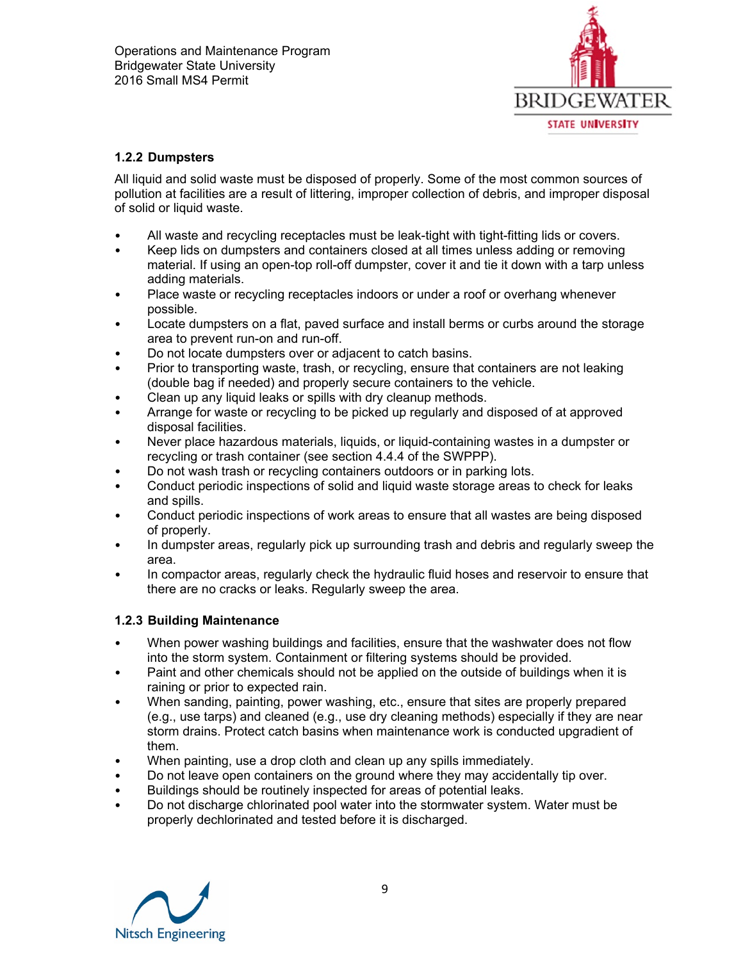

### **1.2.2 Dumpsters**

All liquid and solid waste must be disposed of properly. Some of the most common sources of pollution at facilities are a result of littering, improper collection of debris, and improper disposal of solid or liquid waste.

- All waste and recycling receptacles must be leak-tight with tight-fitting lids or covers.
- Keep lids on dumpsters and containers closed at all times unless adding or removing material. If using an open-top roll-off dumpster, cover it and tie it down with a tarp unless adding materials.
- Place waste or recycling receptacles indoors or under a roof or overhang whenever possible.
- Locate dumpsters on a flat, paved surface and install berms or curbs around the storage area to prevent run-on and run-off.
- Do not locate dumpsters over or adjacent to catch basins.
- Prior to transporting waste, trash, or recycling, ensure that containers are not leaking (double bag if needed) and properly secure containers to the vehicle.
- Clean up any liquid leaks or spills with dry cleanup methods.
- Arrange for waste or recycling to be picked up regularly and disposed of at approved disposal facilities.
- Never place hazardous materials, liquids, or liquid-containing wastes in a dumpster or recycling or trash container (see section 4.4.4 of the SWPPP).
- Do not wash trash or recycling containers outdoors or in parking lots.
- Conduct periodic inspections of solid and liquid waste storage areas to check for leaks and spills.
- Conduct periodic inspections of work areas to ensure that all wastes are being disposed of properly.
- In dumpster areas, regularly pick up surrounding trash and debris and regularly sweep the area.
- In compactor areas, regularly check the hydraulic fluid hoses and reservoir to ensure that there are no cracks or leaks. Regularly sweep the area.

### **1.2.3 Building Maintenance**

- When power washing buildings and facilities, ensure that the washwater does not flow into the storm system. Containment or filtering systems should be provided.
- Paint and other chemicals should not be applied on the outside of buildings when it is raining or prior to expected rain.
- When sanding, painting, power washing, etc., ensure that sites are properly prepared (e.g., use tarps) and cleaned (e.g., use dry cleaning methods) especially if they are near storm drains. Protect catch basins when maintenance work is conducted upgradient of them.
- When painting, use a drop cloth and clean up any spills immediately.
- Do not leave open containers on the ground where they may accidentally tip over.
- Buildings should be routinely inspected for areas of potential leaks.
- Do not discharge chlorinated pool water into the stormwater system. Water must be properly dechlorinated and tested before it is discharged.

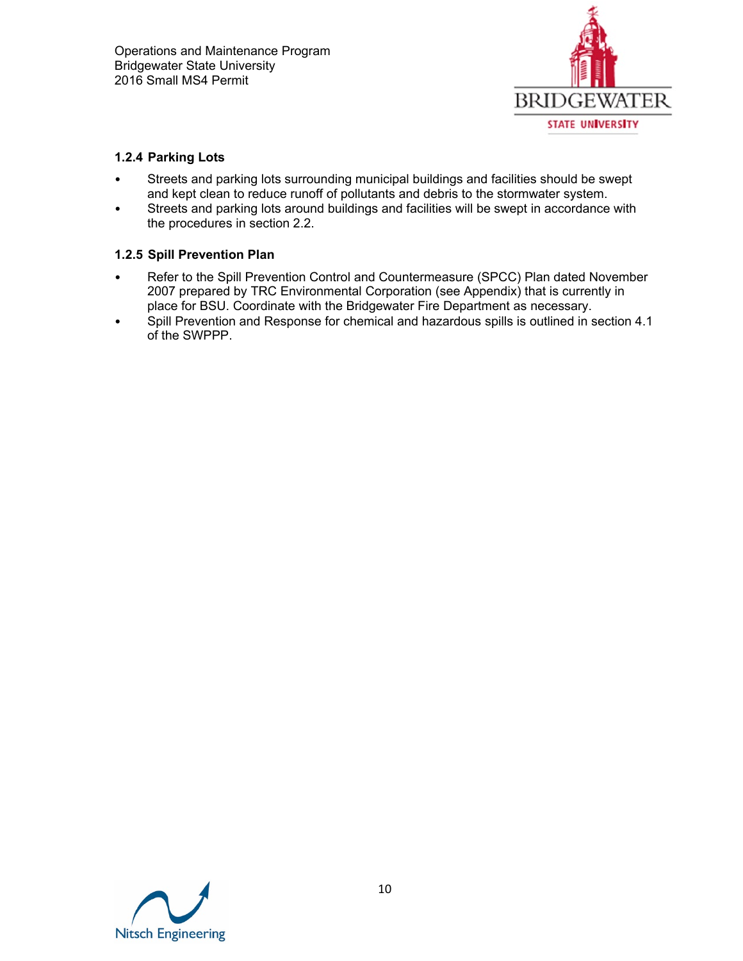

### **1.2.4 Parking Lots**

- Streets and parking lots surrounding municipal buildings and facilities should be swept and kept clean to reduce runoff of pollutants and debris to the stormwater system.
- Streets and parking lots around buildings and facilities will be swept in accordance with the procedures in section 2.2.

### **1.2.5 Spill Prevention Plan**

- Refer to the Spill Prevention Control and Countermeasure (SPCC) Plan dated November 2007 prepared by TRC Environmental Corporation (see Appendix) that is currently in place for BSU. Coordinate with the Bridgewater Fire Department as necessary.
- Spill Prevention and Response for chemical and hazardous spills is outlined in section 4.1 of the SWPPP.

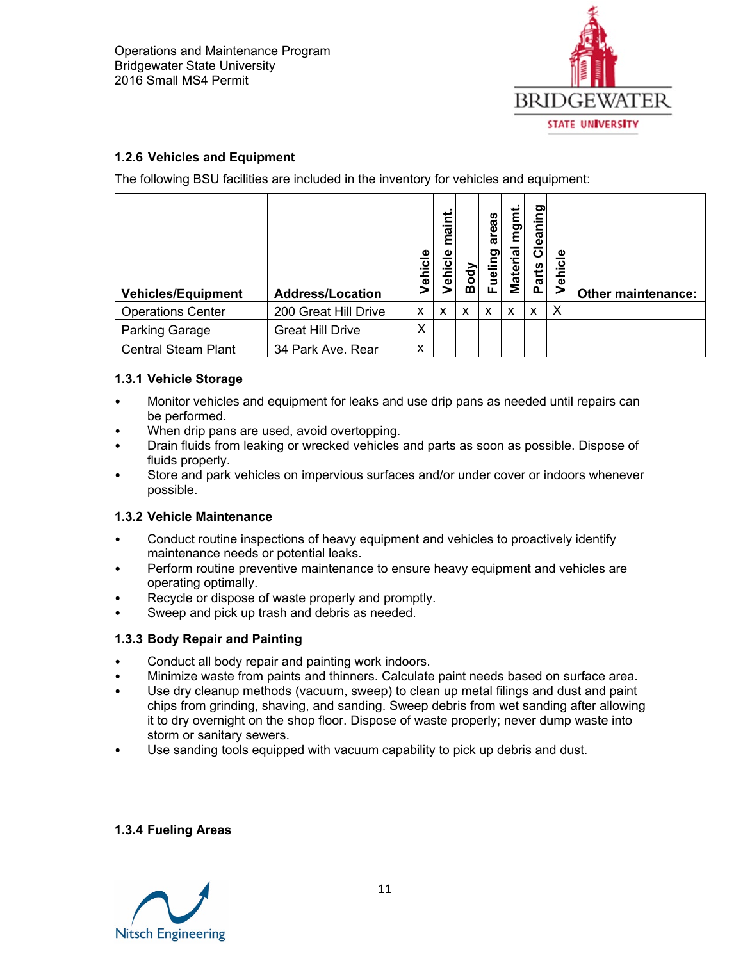

### **1.2.6 Vehicles and Equipment**

The following BSU facilities are included in the inventory for vehicles and equipment:

| <b>Vehicles/Equipment</b>  | <b>Address/Location</b> | Vehicle                   | maint.<br>Vehicle | $\overline{\mathsf{p}}$<br>⋒ | areas<br>iueling<br>ш. | mgmt<br><b>Material</b> | leaning<br>ō<br>Parts | Vehicle | <b>Other maintenance:</b> |
|----------------------------|-------------------------|---------------------------|-------------------|------------------------------|------------------------|-------------------------|-----------------------|---------|---------------------------|
| <b>Operations Center</b>   | 200 Great Hill Drive    | X                         | x                 | x                            | X                      | X                       | x                     | X       |                           |
| <b>Parking Garage</b>      | <b>Great Hill Drive</b> | X                         |                   |                              |                        |                         |                       |         |                           |
| <b>Central Steam Plant</b> | 34 Park Ave. Rear       | $\boldsymbol{\mathsf{x}}$ |                   |                              |                        |                         |                       |         |                           |

### **1.3.1 Vehicle Storage**

- Monitor vehicles and equipment for leaks and use drip pans as needed until repairs can be performed.
- When drip pans are used, avoid overtopping.
- Drain fluids from leaking or wrecked vehicles and parts as soon as possible. Dispose of fluids properly.
- Store and park vehicles on impervious surfaces and/or under cover or indoors whenever possible.

### **1.3.2 Vehicle Maintenance**

- Conduct routine inspections of heavy equipment and vehicles to proactively identify maintenance needs or potential leaks.
- Perform routine preventive maintenance to ensure heavy equipment and vehicles are operating optimally.
- Recycle or dispose of waste properly and promptly.
- Sweep and pick up trash and debris as needed.

### **1.3.3 Body Repair and Painting**

- Conduct all body repair and painting work indoors.
- Minimize waste from paints and thinners. Calculate paint needs based on surface area.
- Use dry cleanup methods (vacuum, sweep) to clean up metal filings and dust and paint chips from grinding, shaving, and sanding. Sweep debris from wet sanding after allowing it to dry overnight on the shop floor. Dispose of waste properly; never dump waste into storm or sanitary sewers.
- Use sanding tools equipped with vacuum capability to pick up debris and dust.

### **1.3.4 Fueling Areas**

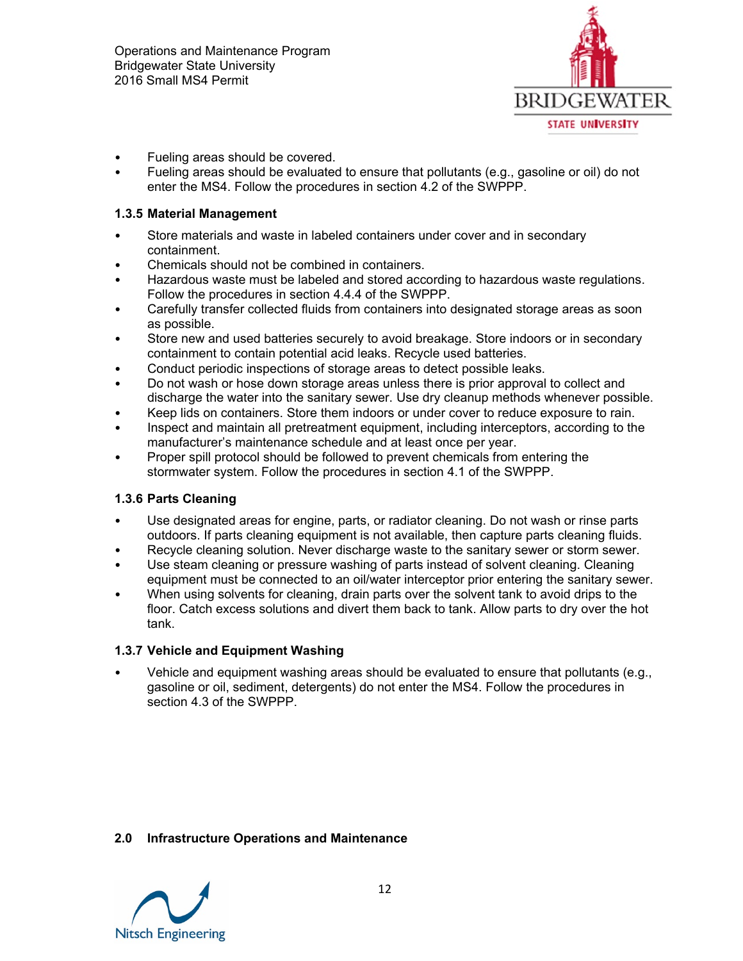

- Fueling areas should be covered.
- Fueling areas should be evaluated to ensure that pollutants (e.g., gasoline or oil) do not enter the MS4. Follow the procedures in section 4.2 of the SWPPP.

#### **1.3.5 Material Management**

- Store materials and waste in labeled containers under cover and in secondary containment.
- Chemicals should not be combined in containers.
- Hazardous waste must be labeled and stored according to hazardous waste regulations. Follow the procedures in section 4.4.4 of the SWPPP.
- Carefully transfer collected fluids from containers into designated storage areas as soon as possible.
- Store new and used batteries securely to avoid breakage. Store indoors or in secondary containment to contain potential acid leaks. Recycle used batteries.
- Conduct periodic inspections of storage areas to detect possible leaks.
- Do not wash or hose down storage areas unless there is prior approval to collect and discharge the water into the sanitary sewer. Use dry cleanup methods whenever possible.
- Keep lids on containers. Store them indoors or under cover to reduce exposure to rain.
- Inspect and maintain all pretreatment equipment, including interceptors, according to the manufacturer's maintenance schedule and at least once per year.
- Proper spill protocol should be followed to prevent chemicals from entering the stormwater system. Follow the procedures in section 4.1 of the SWPPP.

### **1.3.6 Parts Cleaning**

- Use designated areas for engine, parts, or radiator cleaning. Do not wash or rinse parts outdoors. If parts cleaning equipment is not available, then capture parts cleaning fluids.
- Recycle cleaning solution. Never discharge waste to the sanitary sewer or storm sewer.
- Use steam cleaning or pressure washing of parts instead of solvent cleaning. Cleaning equipment must be connected to an oil/water interceptor prior entering the sanitary sewer.
- When using solvents for cleaning, drain parts over the solvent tank to avoid drips to the floor. Catch excess solutions and divert them back to tank. Allow parts to dry over the hot tank.

### **1.3.7 Vehicle and Equipment Washing**

• Vehicle and equipment washing areas should be evaluated to ensure that pollutants (e.g., gasoline or oil, sediment, detergents) do not enter the MS4. Follow the procedures in section 4.3 of the SWPPP.

### **2.0 Infrastructure Operations and Maintenance**

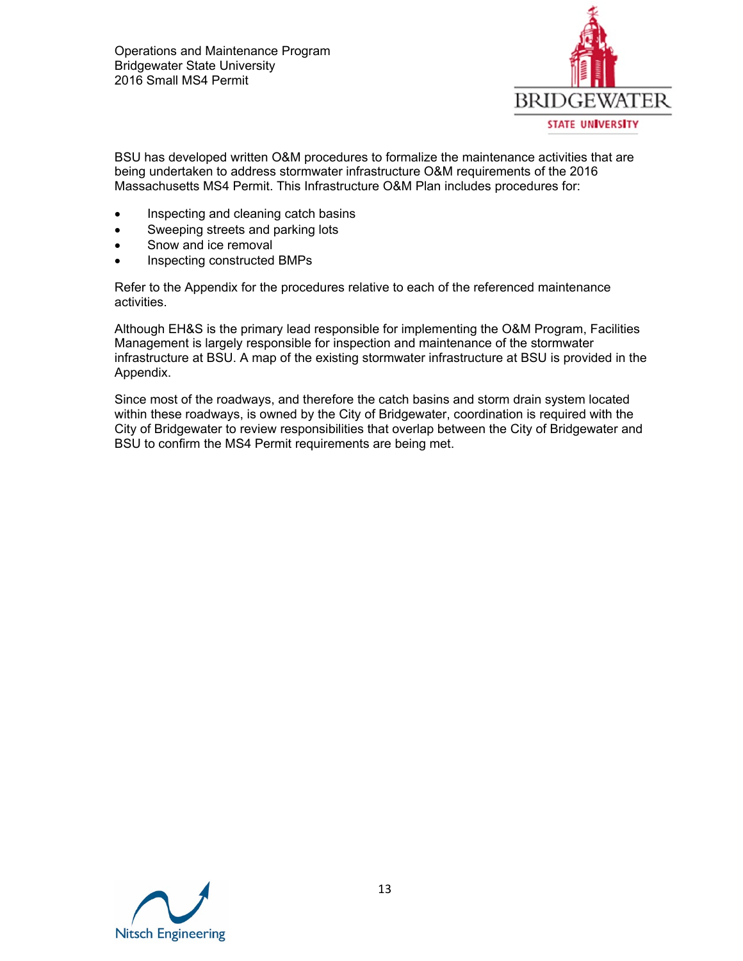

BSU has developed written O&M procedures to formalize the maintenance activities that are being undertaken to address stormwater infrastructure O&M requirements of the 2016 Massachusetts MS4 Permit. This Infrastructure O&M Plan includes procedures for:

- Inspecting and cleaning catch basins
- Sweeping streets and parking lots
- Snow and ice removal
- Inspecting constructed BMPs

Refer to the Appendix for the procedures relative to each of the referenced maintenance activities.

Although EH&S is the primary lead responsible for implementing the O&M Program, Facilities Management is largely responsible for inspection and maintenance of the stormwater infrastructure at BSU. A map of the existing stormwater infrastructure at BSU is provided in the Appendix.

Since most of the roadways, and therefore the catch basins and storm drain system located within these roadways, is owned by the City of Bridgewater, coordination is required with the City of Bridgewater to review responsibilities that overlap between the City of Bridgewater and BSU to confirm the MS4 Permit requirements are being met.

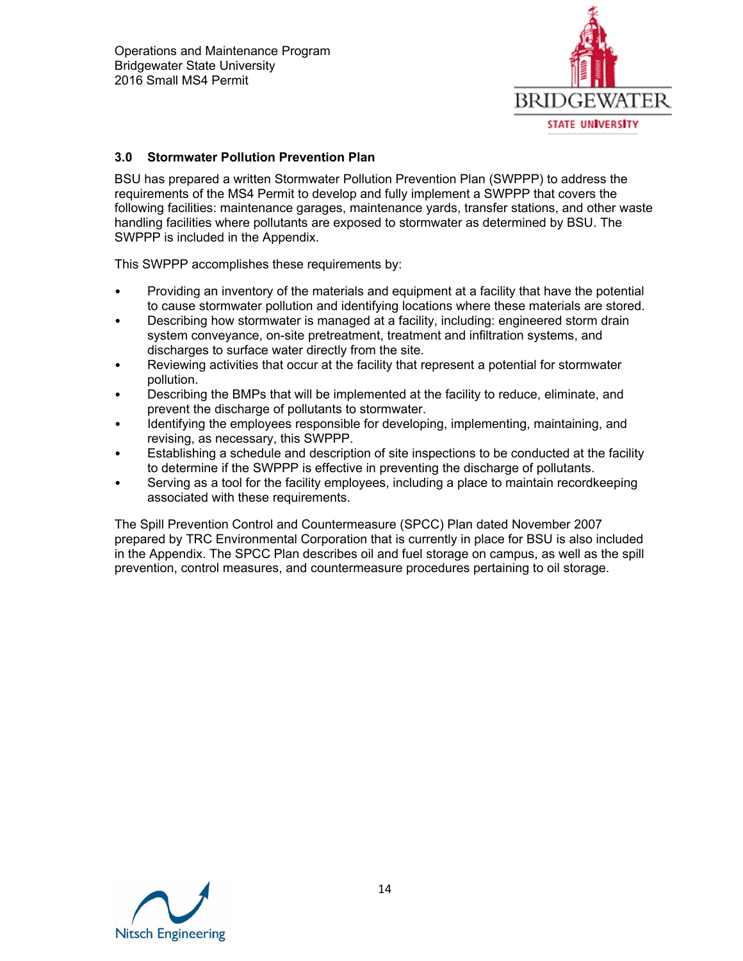

### **3.0 Stormwater Pollution Prevention Plan**

BSU has prepared a written Stormwater Pollution Prevention Plan (SWPPP) to address the requirements of the MS4 Permit to develop and fully implement a SWPPP that covers the following facilities: maintenance garages, maintenance yards, transfer stations, and other waste handling facilities where pollutants are exposed to stormwater as determined by BSU. The SWPPP is included in the Appendix.

This SWPPP accomplishes these requirements by:

- Providing an inventory of the materials and equipment at a facility that have the potential to cause stormwater pollution and identifying locations where these materials are stored.
- Describing how stormwater is managed at a facility, including: engineered storm drain system conveyance, on-site pretreatment, treatment and infiltration systems, and discharges to surface water directly from the site.
- Reviewing activities that occur at the facility that represent a potential for stormwater pollution.
- Describing the BMPs that will be implemented at the facility to reduce, eliminate, and prevent the discharge of pollutants to stormwater.
- Identifying the employees responsible for developing, implementing, maintaining, and revising, as necessary, this SWPPP.
- Establishing a schedule and description of site inspections to be conducted at the facility to determine if the SWPPP is effective in preventing the discharge of pollutants.
- Serving as a tool for the facility employees, including a place to maintain recordkeeping associated with these requirements.

The Spill Prevention Control and Countermeasure (SPCC) Plan dated November 2007 prepared by TRC Environmental Corporation that is currently in place for BSU is also included in the Appendix. The SPCC Plan describes oil and fuel storage on campus, as well as the spill prevention, control measures, and countermeasure procedures pertaining to oil storage.

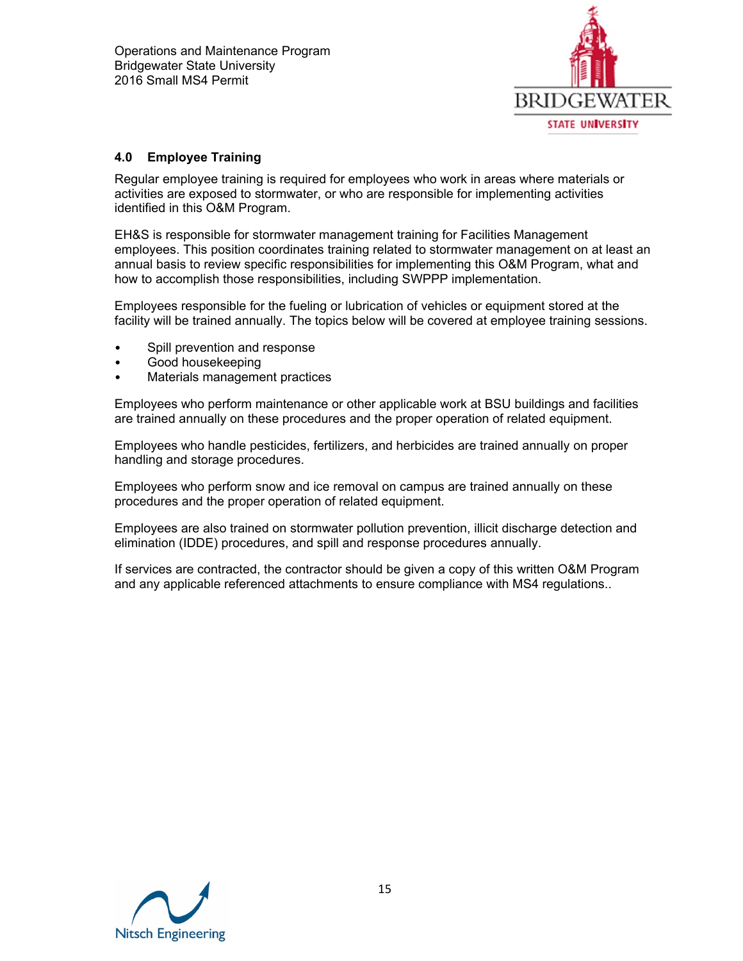

### **4.0 Employee Training**

Regular employee training is required for employees who work in areas where materials or activities are exposed to stormwater, or who are responsible for implementing activities identified in this O&M Program.

EH&S is responsible for stormwater management training for Facilities Management employees. This position coordinates training related to stormwater management on at least an annual basis to review specific responsibilities for implementing this O&M Program, what and how to accomplish those responsibilities, including SWPPP implementation.

Employees responsible for the fueling or lubrication of vehicles or equipment stored at the facility will be trained annually. The topics below will be covered at employee training sessions.

- Spill prevention and response
- Good housekeeping
- Materials management practices

Employees who perform maintenance or other applicable work at BSU buildings and facilities are trained annually on these procedures and the proper operation of related equipment.

Employees who handle pesticides, fertilizers, and herbicides are trained annually on proper handling and storage procedures.

Employees who perform snow and ice removal on campus are trained annually on these procedures and the proper operation of related equipment.

Employees are also trained on stormwater pollution prevention, illicit discharge detection and elimination (IDDE) procedures, and spill and response procedures annually.

If services are contracted, the contractor should be given a copy of this written O&M Program and any applicable referenced attachments to ensure compliance with MS4 regulations..